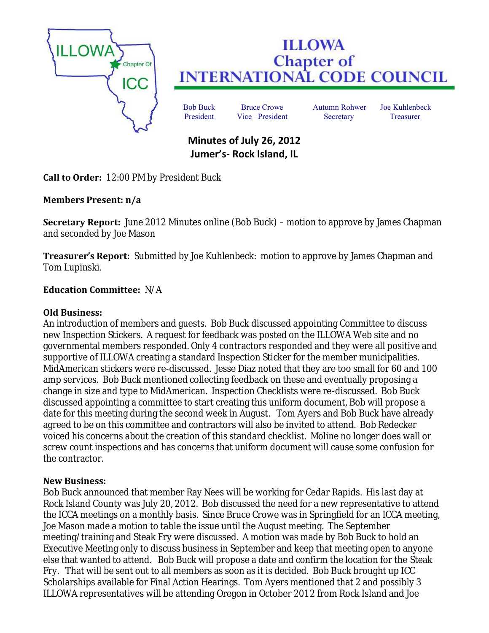

# **ILLOWA Chapter of<br>INTERNATIONAL CODE COUNCIL**

Bob Buck Bruce Crowe Autumn Rohwer Joe Kuhlenbeck President Vice –President Secretary Treasurer

# **Minutes of July 26, 2012 Jumer's- Rock Island, IL**

**Call to Order:** 12:00 PM by President Buck

## **Members Present: n/a**

**Secretary Report:** June 2012 Minutes online (Bob Buck) – motion to approve by James Chapman and seconded by Joe Mason

**Treasurer's Report:** Submitted by Joe Kuhlenbeck: motion to approve by James Chapman and Tom Lupinski.

### **Education Committee:** N/A

#### **Old Business:**

An introduction of members and guests. Bob Buck discussed appointing Committee to discuss new Inspection Stickers. A request for feedback was posted on the ILLOWA Web site and no governmental members responded. Only 4 contractors responded and they were all positive and supportive of ILLOWA creating a standard Inspection Sticker for the member municipalities. MidAmerican stickers were re-discussed. Jesse Diaz noted that they are too small for 60 and 100 amp services. Bob Buck mentioned collecting feedback on these and eventually proposing a change in size and type to MidAmerican. Inspection Checklists were re-discussed. Bob Buck discussed appointing a committee to start creating this uniform document, Bob will propose a date for this meeting during the second week in August. Tom Ayers and Bob Buck have already agreed to be on this committee and contractors will also be invited to attend. Bob Redecker voiced his concerns about the creation of this standard checklist. Moline no longer does wall or screw count inspections and has concerns that uniform document will cause some confusion for the contractor.

#### **New Business:**

Bob Buck announced that member Ray Nees will be working for Cedar Rapids. His last day at Rock Island County was July 20, 2012. Bob discussed the need for a new representative to attend the ICCA meetings on a monthly basis. Since Bruce Crowe was in Springfield for an ICCA meeting, Joe Mason made a motion to table the issue until the August meeting. The September meeting/training and Steak Fry were discussed. A motion was made by Bob Buck to hold an Executive Meeting only to discuss business in September and keep that meeting open to anyone else that wanted to attend. Bob Buck will propose a date and confirm the location for the Steak Fry. That will be sent out to all members as soon as it is decided. Bob Buck brought up ICC Scholarships available for Final Action Hearings. Tom Ayers mentioned that 2 and possibly 3 ILLOWA representatives will be attending Oregon in October 2012 from Rock Island and Joe